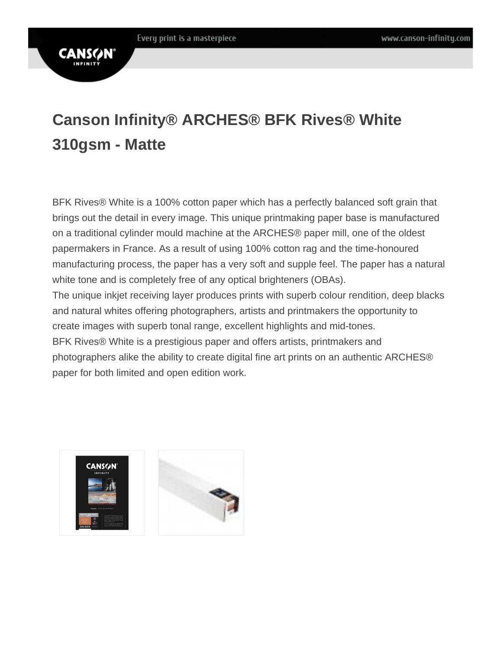

# **Canson Infinity® ARCHES® BFK Rives® White 310gsm - Matte**

BFK Rives® White is a 100% cotton paper which has a perfectly balanced soft grain that brings out the detail in every image. This unique printmaking paper base is manufactured on a traditional cylinder mould machine at the ARCHES® paper mill, one of the oldest papermakers in France. As a result of using 100% cotton rag and the time-honoured manufacturing process, the paper has a very soft and supple feel. The paper has a natural white tone and is completely free of any optical brighteners (OBAs). The unique inkjet receiving layer produces prints with superb colour rendition, deep blacks

and natural whites offering photographers, artists and printmakers the opportunity to create images with superb tonal range, excellent highlights and mid-tones. BFK Rives® White is a prestigious paper and offers artists, printmakers and photographers alike the ability to create digital fine art prints on an authentic ARCHES® paper for both limited and open edition work.

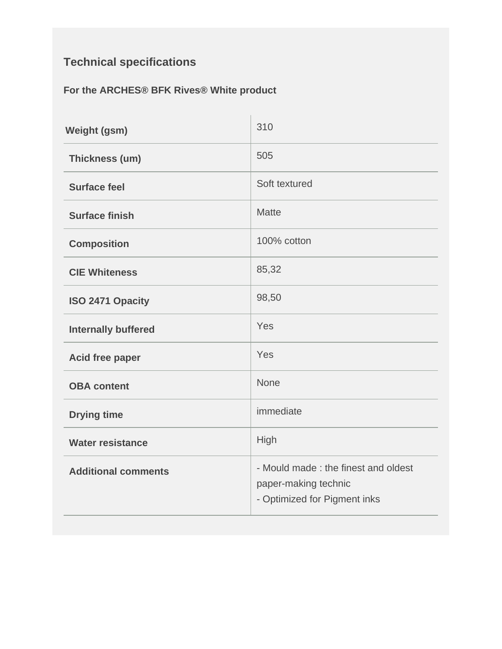## **Technical specifications**

#### **For the ARCHES® BFK Rives® White product**

| <b>Weight (gsm)</b>        | 310                                                                                         |
|----------------------------|---------------------------------------------------------------------------------------------|
| Thickness (um)             | 505                                                                                         |
| <b>Surface feel</b>        | Soft textured                                                                               |
| <b>Surface finish</b>      | <b>Matte</b>                                                                                |
| <b>Composition</b>         | 100% cotton                                                                                 |
| <b>CIE Whiteness</b>       | 85,32                                                                                       |
| ISO 2471 Opacity           | 98,50                                                                                       |
| <b>Internally buffered</b> | Yes                                                                                         |
| <b>Acid free paper</b>     | Yes                                                                                         |
| <b>OBA content</b>         | <b>None</b>                                                                                 |
| <b>Drying time</b>         | immediate                                                                                   |
| <b>Water resistance</b>    | High                                                                                        |
| <b>Additional comments</b> | - Mould made: the finest and oldest<br>paper-making technic<br>- Optimized for Pigment inks |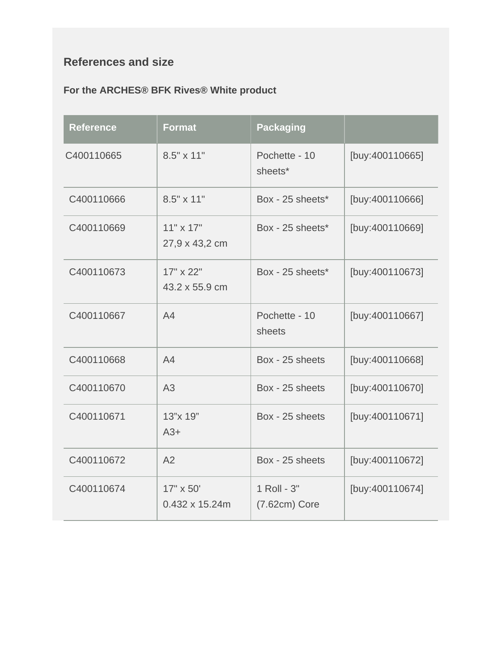### **References and size**

#### **For the ARCHES® BFK Rives® White product**

| <b>Reference</b> | <b>Format</b>                      | <b>Packaging</b>               |                 |
|------------------|------------------------------------|--------------------------------|-----------------|
| C400110665       | $8.5" \times 11"$                  | Pochette - 10<br>sheets*       | [buy:400110665] |
| C400110666       | $8.5" \times 11"$                  | Box - 25 sheets*               | [buy:400110666] |
| C400110669       | $11" \times 17"$<br>27,9 x 43,2 cm | Box - 25 sheets*               | [buy:400110669] |
| C400110673       | 17" x 22"<br>43.2 x 55.9 cm        | Box - 25 sheets*               | [buy:400110673] |
| C400110667       | A4                                 | Pochette - 10<br>sheets        | [buy:400110667] |
| C400110668       | A4                                 | Box - 25 sheets                | [buy:400110668] |
| C400110670       | A3                                 | Box - 25 sheets                | [buy:400110670] |
| C400110671       | 13"x 19"<br>$A3+$                  | Box - 25 sheets                | [buy:400110671] |
| C400110672       | A2                                 | Box - 25 sheets                | [buy:400110672] |
| C400110674       | 17" x 50'<br>0.432 x 15.24m        | 1 Roll - 3"<br>$(7.62cm)$ Core | [buy:400110674] |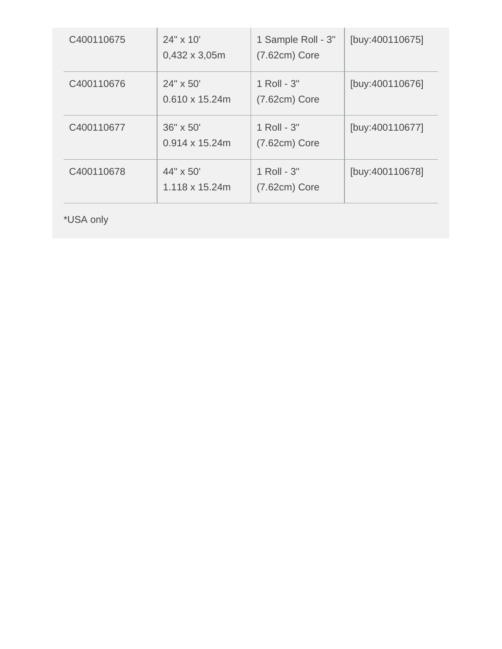| C400110675 | 24" x 10"<br>$0,432 \times 3,05m$   | 1 Sample Roll - 3"<br>$(7.62cm)$ Core | [buy:400110675] |
|------------|-------------------------------------|---------------------------------------|-----------------|
| C400110676 | 24" x 50"<br>$0.610 \times 15.24$ m | 1 Roll - 3"<br>$(7.62cm)$ Core        | [buy:400110676] |
| C400110677 | 36" x 50"<br>$0.914 \times 15.24$ m | 1 Roll - 3"<br>$(7.62cm)$ Core        | [buy:400110677] |
| C400110678 | 44" x 50"<br>$1.118 \times 15.24$ m | 1 Roll - 3"<br>$(7.62cm)$ Core        | [buy:400110678] |

\*USA only